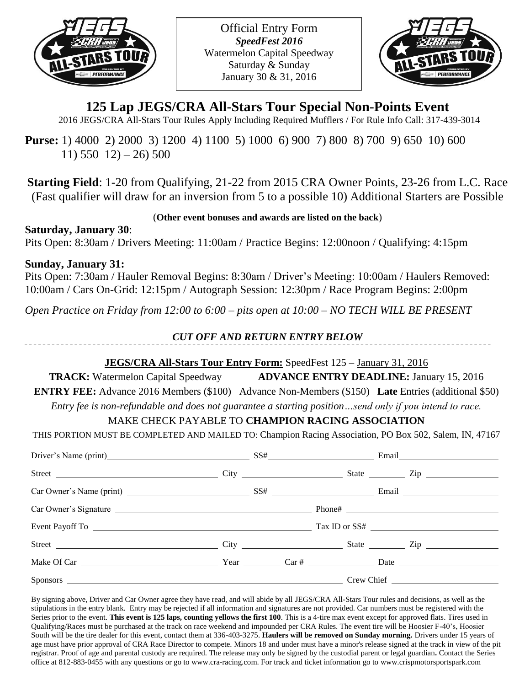

Official Entry Form *SpeedFest 2016* Watermelon Capital Speedway Saturday & Sunday January 30 & 31, 2016



# **125 Lap JEGS/CRA All-Stars Tour Special Non-Points Event**

2016 JEGS/CRA All-Stars Tour Rules Apply Including Required Mufflers / For Rule Info Call: 317-439-3014

**Purse:** 1) 4000 2) 2000 3) 1200 4) 1100 5) 1000 6) 900 7) 800 8) 700 9) 650 10) 600  $11)$  550  $12$ ) – 26) 500

**Starting Field**: 1-20 from Qualifying, 21-22 from 2015 CRA Owner Points, 23-26 from L.C. Race (Fast qualifier will draw for an inversion from 5 to a possible 10) Additional Starters are Possible

(**Other event bonuses and awards are listed on the back**)

**Saturday, January 30**: Pits Open: 8:30am / Drivers Meeting: 11:00am / Practice Begins: 12:00noon / Qualifying: 4:15pm

### **Sunday, January 31:**

Pits Open: 7:30am / Hauler Removal Begins: 8:30am / Driver's Meeting: 10:00am / Haulers Removed: 10:00am / Cars On-Grid: 12:15pm / Autograph Session: 12:30pm / Race Program Begins: 2:00pm

*Open Practice on Friday from 12:00 to 6:00 – pits open at 10:00 – NO TECH WILL BE PRESENT*

### *CUT OFF AND RETURN ENTRY BELOW*

# **JEGS/CRA All-Stars Tour Entry Form:** SpeedFest 125 – January 31, 2016

**TRACK:** Watermelon Capital Speedway **ADVANCE ENTRY DEADLINE:** January 15, 2016 **ENTRY FEE:** Advance 2016 Members (\$100) Advance Non-Members (\$150) **Late** Entries (additional \$50)

*Entry fee is non-refundable and does not guarantee a starting position…send only if you intend to race.*

# MAKE CHECK PAYABLE TO **CHAMPION RACING ASSOCIATION**

THIS PORTION MUST BE COMPLETED AND MAILED TO: Champion Racing Association, PO Box 502, Salem, IN, 47167

| Driver's Name (print) SS# Email Email                   |  |  |  |  |
|---------------------------------------------------------|--|--|--|--|
|                                                         |  |  |  |  |
| $\text{Car Owner's Name (print)}$ $SS\#$ $\text{Email}$ |  |  |  |  |
|                                                         |  |  |  |  |
|                                                         |  |  |  |  |
|                                                         |  |  |  |  |
|                                                         |  |  |  |  |
|                                                         |  |  |  |  |

By signing above, Driver and Car Owner agree they have read, and will abide by all JEGS/CRA All-Stars Tour rules and decisions, as well as the stipulations in the entry blank. Entry may be rejected if all information and signatures are not provided. Car numbers must be registered with the Series prior to the event. **This event is 125 laps, counting yellows the first 100**. This is a 4-tire max event except for approved flats. Tires used in Qualifying/Races must be purchased at the track on race weekend and impounded per CRA Rules. The event tire will be Hoosier F-40's, Hoosier South will be the tire dealer for this event, contact them at 336-403-3275. **Haulers will be removed on Sunday morning.** Drivers under 15 years of age must have prior approval of CRA Race Director to compete. Minors 18 and under must have a minor's release signed at the track in view of the pit registrar. Proof of age and parental custody are required. The release may only be signed by the custodial parent or legal guardian**.** Contact the Series office at 812-883-0455 with any questions or go to www.cra-racing.com. For track and ticket information go to www.crispmotorsportspark.com